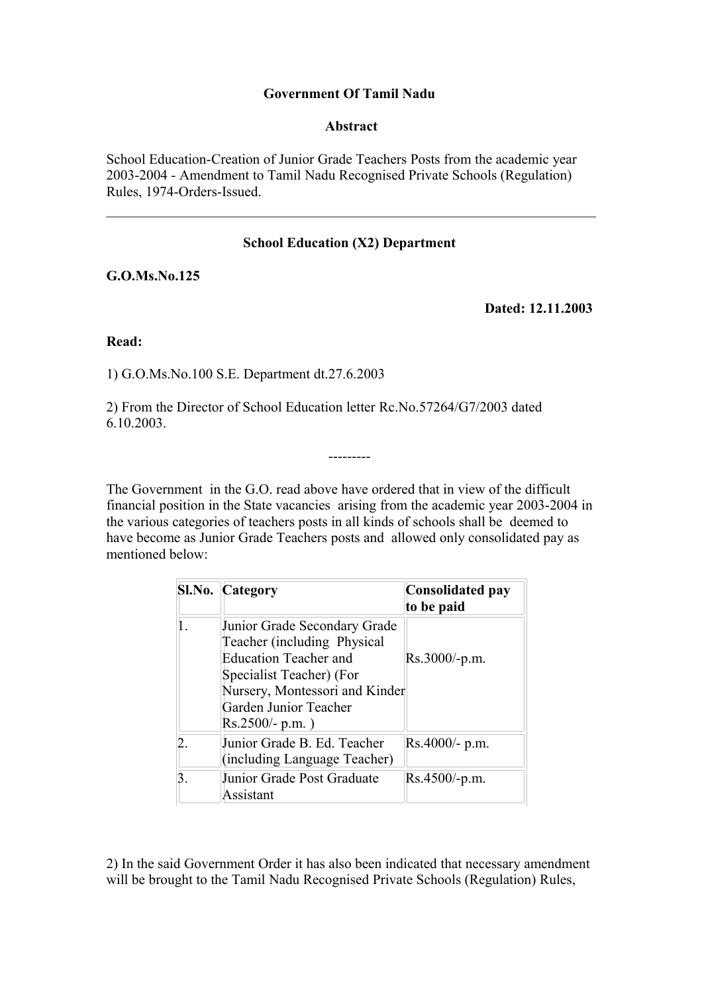### **Government Of Tamil Nadu**

#### **Abstract**

School Education-Creation of Junior Grade Teachers Posts from the academic year 2003-2004 - Amendment to Tamil Nadu Recognised Private Schools (Regulation) Rules, 1974-Orders-Issued.

### **School Education (X2) Department**

**G.O.Ms.No.125**

**Dated: 12.11.2003** 

**Read:**

1) G.O.Ms.No.100 S.E. Department dt.27.6.2003

2) From the Director of School Education letter Rc.No.57264/G7/2003 dated 6.10.2003.

The Government in the G.O. read above have ordered that in view of the difficult financial position in the State vacancies arising from the academic year 2003-2004 in the various categories of teachers posts in all kinds of schools shall be deemed to have become as Junior Grade Teachers posts and allowed only consolidated pay as mentioned below:

---------

| <b>Sl.No. Category</b>                                                                                                                                                                                | <b>Consolidated pay</b><br>to be paid |
|-------------------------------------------------------------------------------------------------------------------------------------------------------------------------------------------------------|---------------------------------------|
| Junior Grade Secondary Grade<br>Teacher (including Physical<br><b>Education Teacher and</b><br>Specialist Teacher) (For<br>Nursery, Montessori and Kinder<br>Garden Junior Teacher<br>Rs.2500/- p.m.) | $Rs.3000/-p.m.$                       |
| Junior Grade B. Ed. Teacher<br>(including Language Teacher)                                                                                                                                           | $Rs.4000/- p.m.$                      |
| Junior Grade Post Graduate<br>Assistant                                                                                                                                                               | $Rs.4500/-p.m.$                       |

2) In the said Government Order it has also been indicated that necessary amendment will be brought to the Tamil Nadu Recognised Private Schools (Regulation) Rules,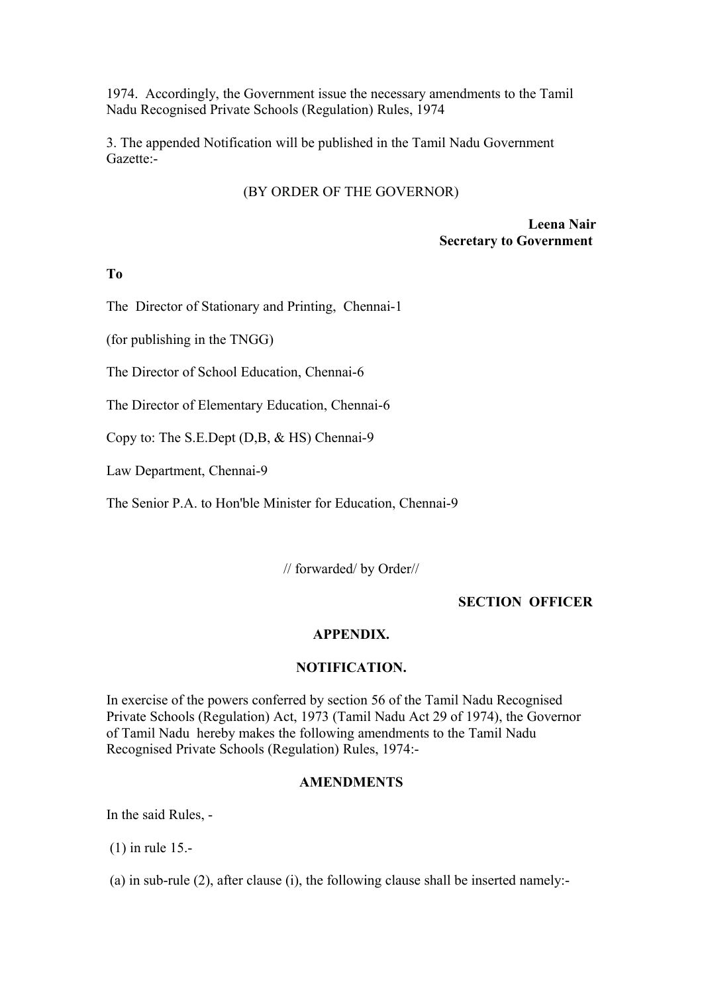1974. Accordingly, the Government issue the necessary amendments to the Tamil Nadu Recognised Private Schools (Regulation) Rules, 1974

3. The appended Notification will be published in the Tamil Nadu Government Gazette:-

#### (BY ORDER OF THE GOVERNOR)

**Leena Nair Secretary to Government**

### **To**

The Director of Stationary and Printing, Chennai-1

(for publishing in the TNGG)

The Director of School Education, Chennai-6

The Director of Elementary Education, Chennai-6

Copy to: The S.E.Dept (D,B, & HS) Chennai-9

Law Department, Chennai-9

The Senior P.A. to Hon'ble Minister for Education, Chennai-9

// forwarded/ by Order//

#### **SECTION OFFICER**

#### **APPENDIX.**

#### **NOTIFICATION.**

In exercise of the powers conferred by section 56 of the Tamil Nadu Recognised Private Schools (Regulation) Act, 1973 (Tamil Nadu Act 29 of 1974), the Governor of Tamil Nadu hereby makes the following amendments to the Tamil Nadu Recognised Private Schools (Regulation) Rules, 1974:-

#### **AMENDMENTS**

In the said Rules, -

(1) in rule 15.-

(a) in sub-rule (2), after clause (i), the following clause shall be inserted namely:-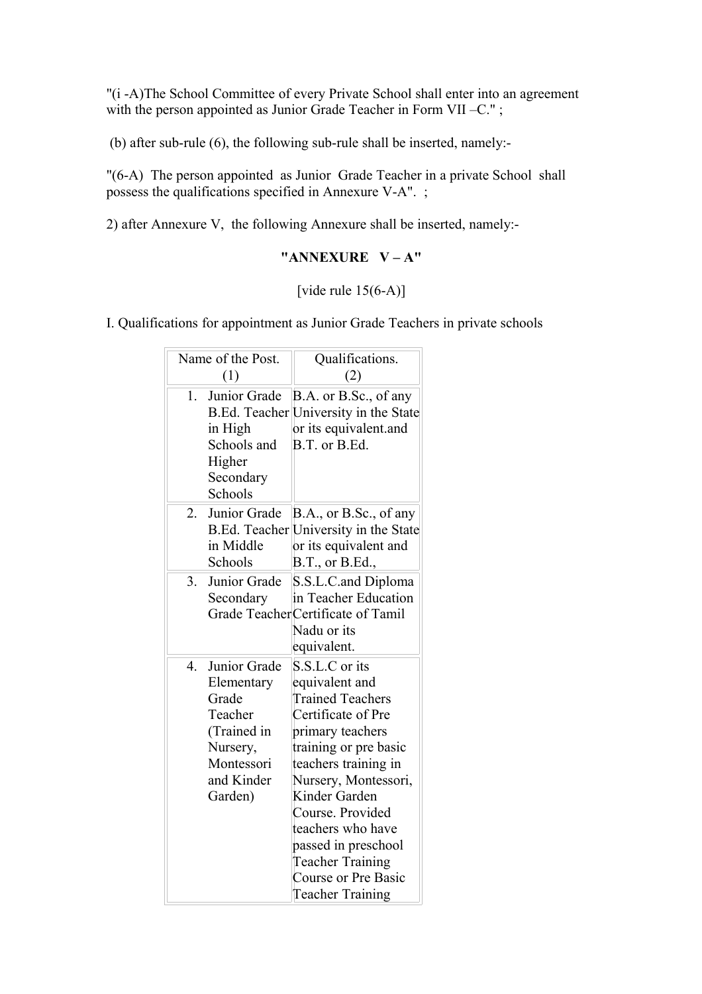"(i -A)The School Committee of every Private School shall enter into an agreement with the person appointed as Junior Grade Teacher in Form VII –C.";

(b) after sub-rule (6), the following sub-rule shall be inserted, namely:-

"(6-A) The person appointed as Junior Grade Teacher in a private School shall possess the qualifications specified in Annexure V-A". ;

2) after Annexure V, the following Annexure shall be inserted, namely:-

### **"ANNEXURE V – A"**

### [vide rule  $15(6-A)$ ]

I. Qualifications for appointment as Junior Grade Teachers in private schools

| Name of the Post.                                                                                                               | Qualifications.                                                                                                                                                                                                                                                                                                                              |
|---------------------------------------------------------------------------------------------------------------------------------|----------------------------------------------------------------------------------------------------------------------------------------------------------------------------------------------------------------------------------------------------------------------------------------------------------------------------------------------|
| (1)                                                                                                                             | (2)                                                                                                                                                                                                                                                                                                                                          |
| Junior Grade<br>$1_{-}$<br>in High<br>Schools and<br>Higher<br>Secondary<br>Schools                                             | B.A. or B.Sc., of any<br>B.Ed. Teacher University in the State<br>or its equivalent.and<br>B.T. or B.Ed.                                                                                                                                                                                                                                     |
| Junior Grade<br>2.<br>in Middle<br>Schools                                                                                      | B.A., or B.Sc., of any<br>B.Ed. Teacher University in the State<br>or its equivalent and<br>B.T., or B.Ed.,                                                                                                                                                                                                                                  |
| Junior Grade<br>3.<br>Secondary                                                                                                 | S.S.L.C.and Diploma<br>in Teacher Education<br>Grade TeacherCertificate of Tamil<br>Nadu or its<br>equivalent.                                                                                                                                                                                                                               |
| Junior Grade<br>$4_{\cdot}$<br>Elementary<br>Grade<br>Teacher<br>(Trained in<br>Nursery,<br>Montessori<br>and Kinder<br>Garden) | S.S.L.C or its<br>equivalent and<br><b>Trained Teachers</b><br>Certificate of Pre<br>primary teachers<br>training or pre basic<br>teachers training in<br>Nursery, Montessori,<br>Kinder Garden<br>Course. Provided<br>teachers who have<br>passed in preschool<br><b>Teacher Training</b><br>Course or Pre Basic<br><b>Teacher Training</b> |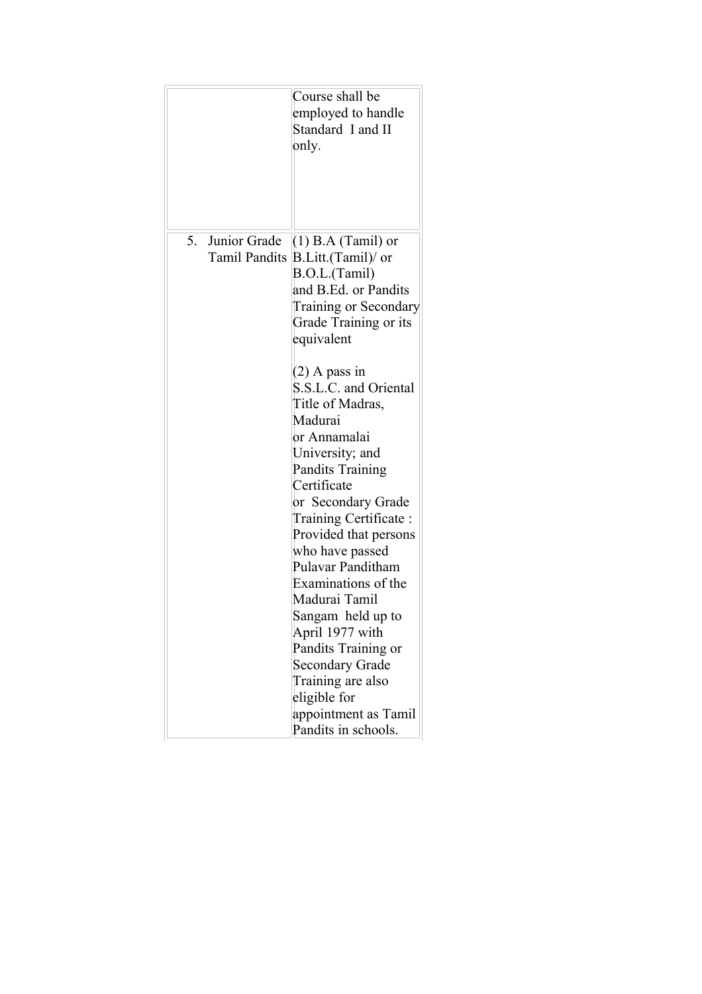|                                         | Course shall be<br>employed to handle<br>Standard I and II<br>only.                                                                                                                                                                                                                                                                                                                                                                                                                                                                                                                                                                              |
|-----------------------------------------|--------------------------------------------------------------------------------------------------------------------------------------------------------------------------------------------------------------------------------------------------------------------------------------------------------------------------------------------------------------------------------------------------------------------------------------------------------------------------------------------------------------------------------------------------------------------------------------------------------------------------------------------------|
| 5. Junior Grade<br><b>Tamil Pandits</b> | $(1)$ B.A (Tamil) or<br>B.Litt.(Tamil)/ or<br>B.O.L.(Tamil)<br>and B.Ed. or Pandits<br>Training or Secondary<br>Grade Training or its<br>equivalent<br>$(2)$ A pass in<br>S.S.L.C. and Oriental<br>Title of Madras,<br>Madurai<br>or Annamalai<br>University; and<br><b>Pandits Training</b><br>Certificate<br>or Secondary Grade<br>Training Certificate:<br>Provided that persons<br>who have passed<br>Pulavar Panditham<br>Examinations of the<br>Madurai Tamil<br>Sangam held up to<br>April 1977 with<br>Pandits Training or<br><b>Secondary Grade</b><br>Training are also<br>eligible for<br>appointment as Tamil<br>Pandits in schools. |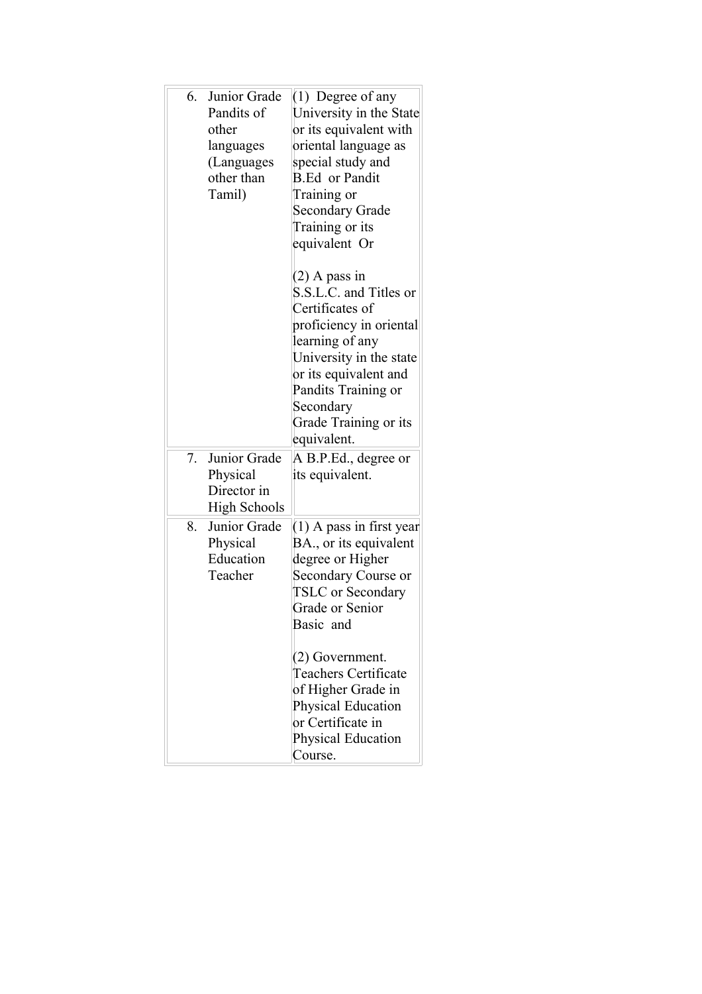| Junior Grade<br>6.<br>Pandits of<br>other<br>languages<br>(Languages<br>other than<br>Tamil) | $(1)$ Degree of any<br>University in the State<br>or its equivalent with<br>oriental language as<br>special study and<br><b>B.Ed</b> or Pandit<br>Training or<br><b>Secondary Grade</b><br>Training or its<br>equivalent Or<br>$(2)$ A pass in<br>S.S.L.C. and Titles or                                        |
|----------------------------------------------------------------------------------------------|-----------------------------------------------------------------------------------------------------------------------------------------------------------------------------------------------------------------------------------------------------------------------------------------------------------------|
|                                                                                              | Certificates of<br>proficiency in oriental<br>learning of any<br>University in the state<br>or its equivalent and<br>Pandits Training or<br>Secondary<br>Grade Training or its<br>equivalent.                                                                                                                   |
| Junior Grade<br>7.<br>Physical<br>Director in<br><b>High Schools</b>                         | A B.P.Ed., degree or<br>its equivalent.                                                                                                                                                                                                                                                                         |
| Junior Grade<br>8.<br>Physical<br>Education<br>Teacher                                       | $(1)$ A pass in first year<br>BA., or its equivalent<br>degree or Higher<br>Secondary Course or<br><b>TSLC</b> or Secondary<br>Grade or Senior<br>Basic and<br>(2) Government.<br><b>Teachers Certificate</b><br>of Higher Grade in<br>Physical Education<br>or Certificate in<br>Physical Education<br>Course. |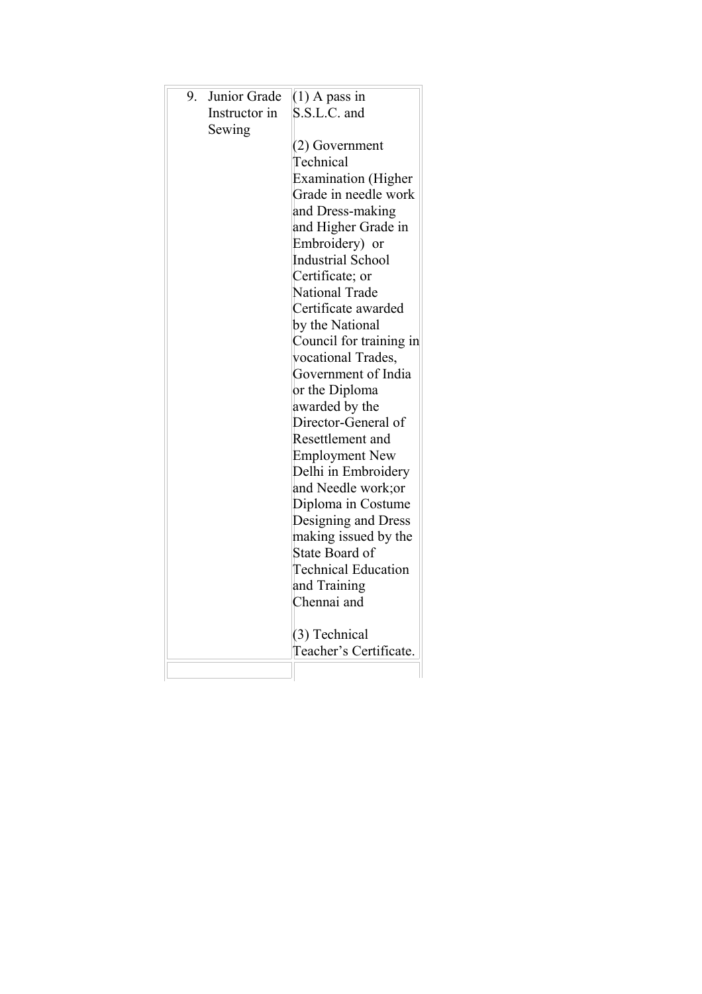| Junior Grade<br>9.<br>Instructor in<br>Sewing | $(1)$ A pass in<br>S.S.L.C. and<br>(2) Government<br>Technical<br><b>Examination</b> (Higher<br>Grade in needle work |
|-----------------------------------------------|----------------------------------------------------------------------------------------------------------------------|
|                                               | and Dress-making                                                                                                     |
|                                               | and Higher Grade in                                                                                                  |
|                                               | Embroidery) or                                                                                                       |
|                                               | <b>Industrial School</b>                                                                                             |
|                                               | Certificate; or                                                                                                      |
|                                               | National Trade                                                                                                       |
|                                               | Certificate awarded                                                                                                  |
|                                               | by the National                                                                                                      |
|                                               | Council for training in                                                                                              |
|                                               | vocational Trades,<br>Government of India                                                                            |
|                                               |                                                                                                                      |
|                                               | or the Diploma<br>awarded by the                                                                                     |
|                                               | Director-General of                                                                                                  |
|                                               | Resettlement and                                                                                                     |
|                                               | <b>Employment New</b>                                                                                                |
|                                               | Delhi in Embroidery                                                                                                  |
|                                               | and Needle work; or                                                                                                  |
|                                               | Diploma in Costume                                                                                                   |
|                                               | Designing and Dress                                                                                                  |
|                                               | making issued by the                                                                                                 |
|                                               | State Board of                                                                                                       |
|                                               | <b>Technical Education</b>                                                                                           |
|                                               | and Training                                                                                                         |
|                                               | Chennai and                                                                                                          |
|                                               | (3) Technical<br>Teacher's Certificate.                                                                              |
|                                               |                                                                                                                      |
|                                               |                                                                                                                      |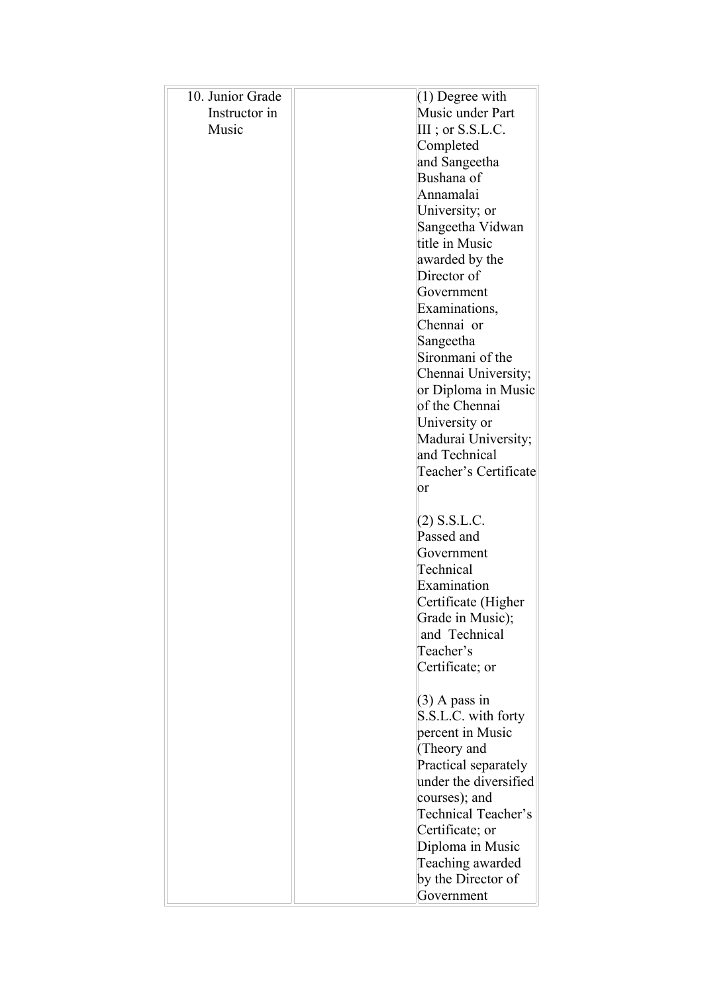| 10. Junior Grade | $(1)$ Degree with                    |
|------------------|--------------------------------------|
| Instructor in    | Music under Part                     |
| Music            | $III$ ; or S.S.L.C.                  |
|                  | Completed                            |
|                  | and Sangeetha                        |
|                  | Bushana of                           |
|                  | Annamalai                            |
|                  | University; or                       |
|                  | Sangeetha Vidwan                     |
|                  | title in Music                       |
|                  | awarded by the                       |
|                  | Director of                          |
|                  | Government                           |
|                  | Examinations,                        |
|                  | Chennai or                           |
|                  | Sangeetha                            |
|                  | Sironmani of the                     |
|                  | Chennai University;                  |
|                  | or Diploma in Music                  |
|                  | of the Chennai                       |
|                  | University or                        |
|                  | Madurai University;<br>and Technical |
|                  | Teacher's Certificate                |
|                  | or                                   |
|                  |                                      |
|                  | $(2)$ S.S.L.C.                       |
|                  | Passed and                           |
|                  | Government                           |
|                  | Technical                            |
|                  | Examination                          |
|                  | Certificate (Higher                  |
|                  | Grade in Music);                     |
|                  | and Technical                        |
|                  | Teacher's                            |
|                  | Certificate; or                      |
|                  |                                      |
|                  | $(3)$ A pass in                      |
|                  | S.S.L.C. with forty                  |
|                  | percent in Music                     |
|                  | (Theory and                          |
|                  | Practical separately                 |
|                  | under the diversified                |
|                  | courses); and<br>Technical Teacher's |
|                  | Certificate; or                      |
|                  | Diploma in Music                     |
|                  | Teaching awarded                     |
|                  | by the Director of                   |
|                  | Government                           |
|                  |                                      |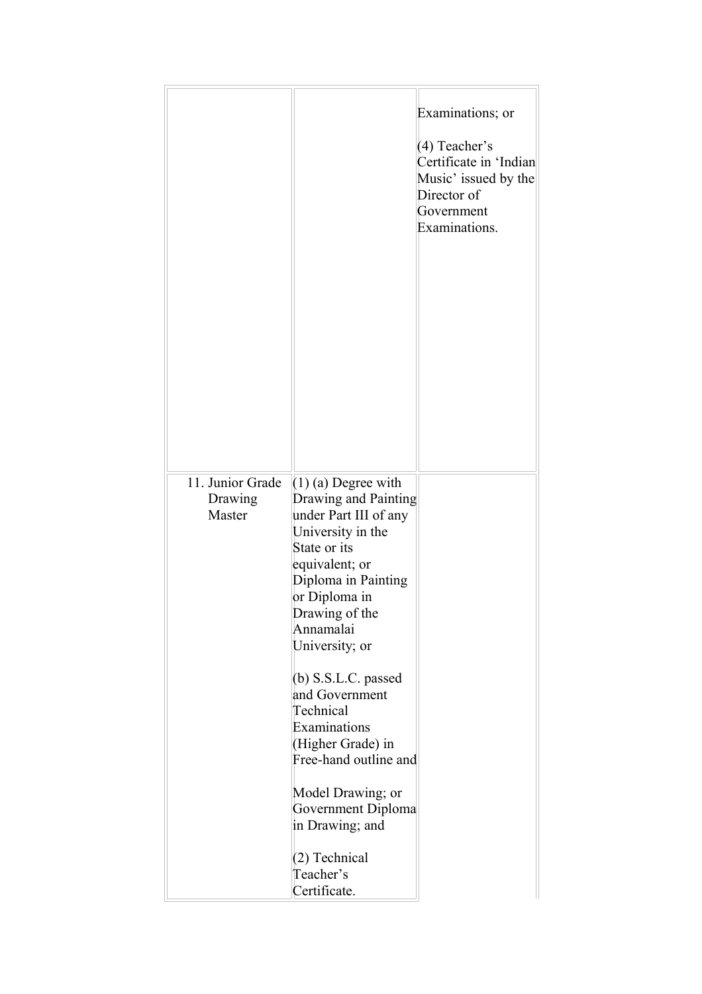|                                       |                                                                                                                                                                                                                                                                                                                                                                   | Examinations; or<br>(4) Teacher's<br>Certificate in 'Indian<br>Music' issued by the<br>Director of<br>Government<br>Examinations. |
|---------------------------------------|-------------------------------------------------------------------------------------------------------------------------------------------------------------------------------------------------------------------------------------------------------------------------------------------------------------------------------------------------------------------|-----------------------------------------------------------------------------------------------------------------------------------|
| 11. Junior Grade<br>Drawing<br>Master | $(1)$ (a) Degree with<br>Drawing and Painting<br>under Part III of any<br>University in the<br>State or its<br>equivalent; or<br>Diploma in Painting<br>or Diploma in<br>Drawing of the<br>Annamalai<br>University; or<br>$(b)$ S.S.L.C. passed<br>and Government<br>Technical<br>Examinations<br>(Higher Grade) in<br>Free-hand outline and<br>Model Drawing; or |                                                                                                                                   |
|                                       | Government Diploma<br>in Drawing; and<br>(2) Technical<br>Teacher's<br>Certificate.                                                                                                                                                                                                                                                                               |                                                                                                                                   |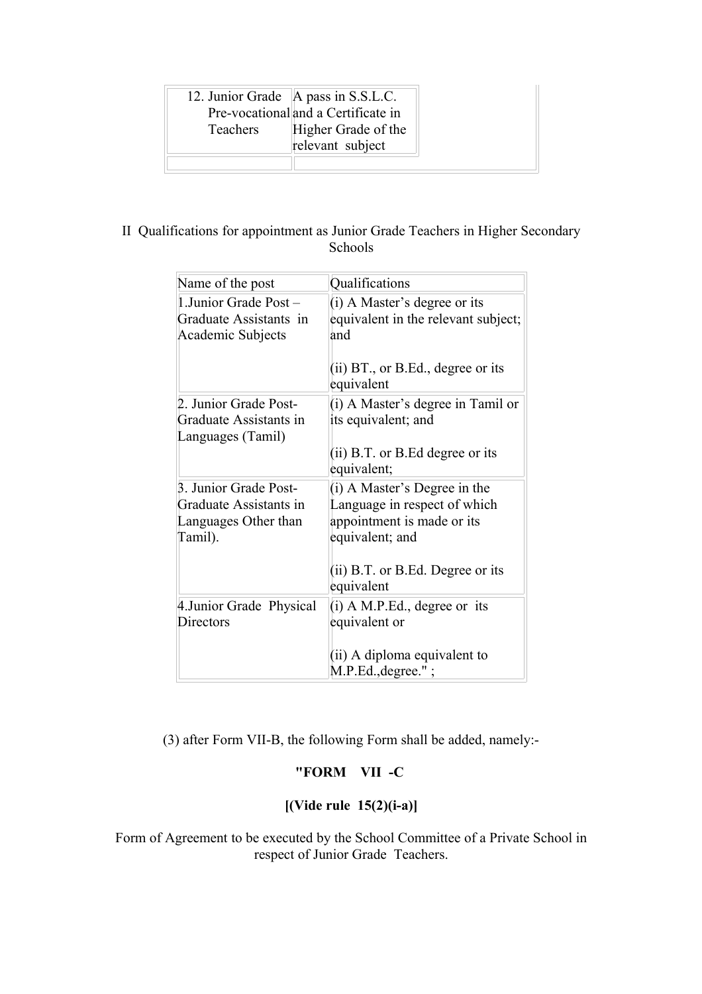|                 | 12. Junior Grade   A pass in S.S.L.C. |
|-----------------|---------------------------------------|
|                 | Pre-vocational and a Certificate in   |
| <b>Teachers</b> | Higher Grade of the                   |
|                 | relevant subject                      |
|                 |                                       |

# II Qualifications for appointment as Junior Grade Teachers in Higher Secondary Schools

| Name of the post                                                                   | Qualifications                                                                                                                                                      |
|------------------------------------------------------------------------------------|---------------------------------------------------------------------------------------------------------------------------------------------------------------------|
| 1. Junior Grade Post -<br>Graduate Assistants in<br>Academic Subjects              | (i) A Master's degree or its<br>equivalent in the relevant subject;<br>and<br>(ii) $BT_{.}$ , or B.Ed., degree or its<br>equivalent                                 |
| 2. Junior Grade Post-<br>Graduate Assistants in<br>Languages (Tamil)               | (i) A Master's degree in Tamil or<br>its equivalent; and<br>$(ii)$ B.T. or B.Ed degree or its<br>equivalent;                                                        |
| 3. Junior Grade Post-<br>Graduate Assistants in<br>Languages Other than<br>Tamil). | (i) A Master's Degree in the<br>Language in respect of which<br>appointment is made or its<br>equivalent; and<br>(ii) $B.T.$ or $B.Ed.$ Degree or its<br>equivalent |
| 4. Junior Grade Physical<br>Directors                                              | $(i)$ A M.P.Ed., degree or its<br>equivalent or<br>(ii) A diploma equivalent to<br>$M.P.Ed., degree."$ ;                                                            |

(3) after Form VII-B, the following Form shall be added, namely:-

# **"FORM VII -C**

# **[(Vide rule 15(2)(i-a)]**

Form of Agreement to be executed by the School Committee of a Private School in respect of Junior Grade Teachers.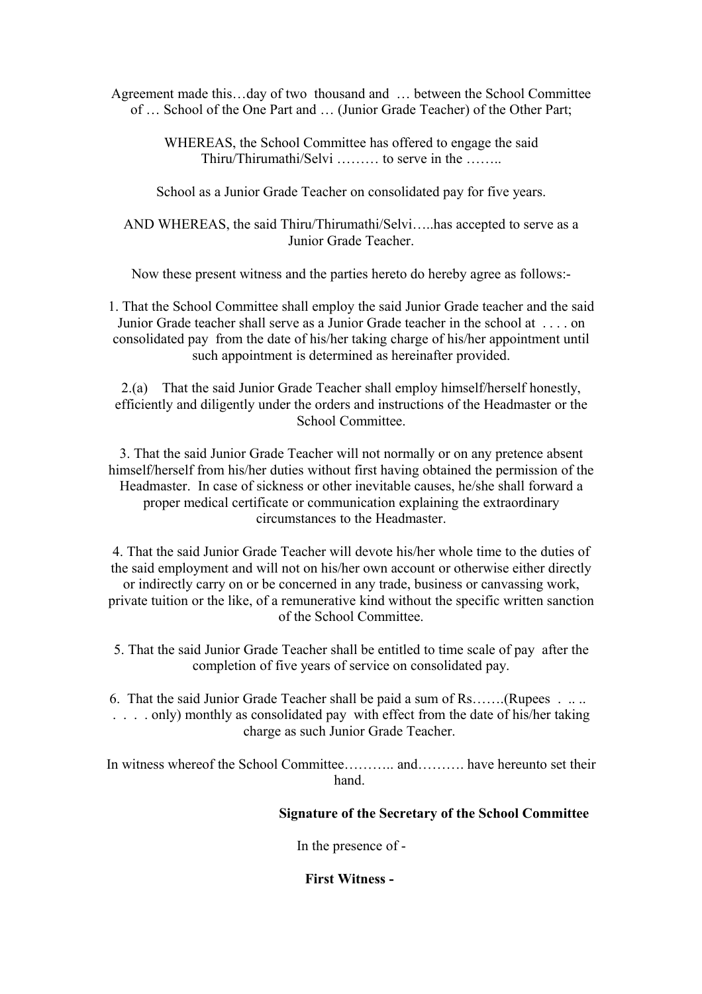Agreement made this…day of two thousand and … between the School Committee of … School of the One Part and … (Junior Grade Teacher) of the Other Part;

> WHEREAS, the School Committee has offered to engage the said Thiru/Thirumathi/Selvi ……… to serve in the ……..

School as a Junior Grade Teacher on consolidated pay for five years.

AND WHEREAS, the said Thiru/Thirumathi/Selvi…..has accepted to serve as a Junior Grade Teacher.

Now these present witness and the parties hereto do hereby agree as follows:-

1. That the School Committee shall employ the said Junior Grade teacher and the said Junior Grade teacher shall serve as a Junior Grade teacher in the school at . . . . on consolidated pay from the date of his/her taking charge of his/her appointment until such appointment is determined as hereinafter provided.

2.(a) That the said Junior Grade Teacher shall employ himself/herself honestly, efficiently and diligently under the orders and instructions of the Headmaster or the School Committee.

3. That the said Junior Grade Teacher will not normally or on any pretence absent himself/herself from his/her duties without first having obtained the permission of the Headmaster. In case of sickness or other inevitable causes, he/she shall forward a proper medical certificate or communication explaining the extraordinary circumstances to the Headmaster.

4. That the said Junior Grade Teacher will devote his/her whole time to the duties of the said employment and will not on his/her own account or otherwise either directly or indirectly carry on or be concerned in any trade, business or canvassing work, private tuition or the like, of a remunerative kind without the specific written sanction of the School Committee.

- 5. That the said Junior Grade Teacher shall be entitled to time scale of pay after the completion of five years of service on consolidated pay.
- 6. That the said Junior Grade Teacher shall be paid a sum of Rs…….(Rupees . .. .. . . . . only) monthly as consolidated pay with effect from the date of his/her taking charge as such Junior Grade Teacher.

In witness whereof the School Committee……….. and………. have hereunto set their hand.

## **Signature of the Secretary of the School Committee**

In the presence of -

**First Witness -**